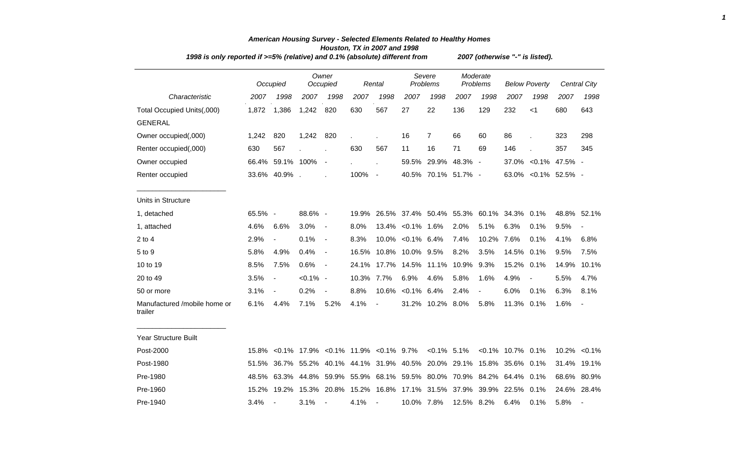|                                         | 1998 is only reported if $>=5\%$ (relative) and 0.1% (absolute) different from |                          |             |                          |                                                |                          |                    |                                                                  |                      |                | 2007 (otherwise "-" is listed). |       |                      |                     |  |  |  |  |
|-----------------------------------------|--------------------------------------------------------------------------------|--------------------------|-------------|--------------------------|------------------------------------------------|--------------------------|--------------------|------------------------------------------------------------------|----------------------|----------------|---------------------------------|-------|----------------------|---------------------|--|--|--|--|
|                                         |                                                                                | Occupied                 |             | Owner<br>Occupied        |                                                | Rental                   | Severe<br>Problems |                                                                  | Moderate<br>Problems |                | <b>Below Poverty</b>            |       |                      | <b>Central City</b> |  |  |  |  |
| Characteristic                          | 2007                                                                           | 1998                     | 2007        | 1998                     | 2007                                           | 1998                     | 2007               | 1998                                                             | 2007                 | 1998           | 2007                            | 1998  | 2007                 | 1998                |  |  |  |  |
| Total Occupied Units(,000)              | 1,872                                                                          | 1,386                    | 1,242       | 820                      | 630                                            | 567                      | 27                 | 22                                                               | 136                  | 129            | 232                             | $<$ 1 | 680                  | 643                 |  |  |  |  |
| <b>GENERAL</b>                          |                                                                                |                          |             |                          |                                                |                          |                    |                                                                  |                      |                |                                 |       |                      |                     |  |  |  |  |
| Owner occupied(,000)                    | 1,242                                                                          | 820                      | 1,242       | 820                      |                                                |                          | 16                 | $\overline{7}$                                                   | 66                   | 60             | 86                              |       | 323                  | 298                 |  |  |  |  |
| Renter occupied(,000)                   | 630                                                                            | 567                      |             |                          | 630                                            | 567                      | 11                 | 16                                                               | 71                   | 69             | 146                             |       | 357                  | 345                 |  |  |  |  |
| Owner occupied                          |                                                                                | 66.4% 59.1% 100%         |             | $\sim$                   |                                                |                          | 59.5%              |                                                                  | 29.9% 48.3% -        |                |                                 |       | 37.0% < 0.1% 47.5% - |                     |  |  |  |  |
| Renter occupied                         |                                                                                | 33.6% 40.9%.             |             |                          | 100%                                           | $\blacksquare$           |                    | 40.5% 70.1% 51.7% -                                              |                      |                |                                 |       | 63.0% < 0.1% 52.5% - |                     |  |  |  |  |
| Units in Structure                      |                                                                                |                          |             |                          |                                                |                          |                    |                                                                  |                      |                |                                 |       |                      |                     |  |  |  |  |
| 1, detached                             | 65.5% -                                                                        |                          | 88.6% -     |                          | 19.9%                                          |                          |                    | 26.5% 37.4% 50.4% 55.3% 60.1% 34.3% 0.1%                         |                      |                |                                 |       |                      | 48.8% 52.1%         |  |  |  |  |
| 1, attached                             | 4.6%                                                                           | 6.6%                     | 3.0%        | $\blacksquare$           | 8.0%                                           |                          | 13.4% < 0.1% 1.6%  |                                                                  | 2.0%                 | 5.1%           | 6.3%                            | 0.1%  | 9.5%                 | $\blacksquare$      |  |  |  |  |
| $2$ to $4$                              | 2.9%                                                                           | $\blacksquare$           | 0.1%        | $\blacksquare$           | 8.3%                                           |                          | 10.0% < 0.1% 6.4%  |                                                                  | 7.4%                 | 10.2%          | 7.6%                            | 0.1%  | 4.1%                 | 6.8%                |  |  |  |  |
| 5 to 9                                  | 5.8%                                                                           | 4.9%                     | 0.4%        | $\blacksquare$           | 16.5%                                          |                          | 10.8% 10.0% 9.5%   |                                                                  | 8.2%                 | 3.5%           | 14.5%                           | 0.1%  | 9.5%                 | 7.5%                |  |  |  |  |
| 10 to 19                                | 8.5%                                                                           | 7.5%                     | 0.6%        | $\sim$                   | 24.1%                                          |                          |                    | 17.7% 14.5% 11.1%                                                | 10.9%                | 9.3%           | 15.2%                           | 0.1%  | 14.9%                | 10.1%               |  |  |  |  |
| 20 to 49                                | 3.5%                                                                           | $\overline{a}$           | $< 0.1\%$ - |                          | 10.3%                                          | 7.7%                     | 6.9%               | 4.6%                                                             | 5.8%                 | 1.6%           | 4.9%                            |       | 5.5%                 | 4.7%                |  |  |  |  |
| 50 or more                              | 3.1%                                                                           | $\overline{\phantom{a}}$ | 0.2%        | $\overline{\phantom{a}}$ | 8.8%                                           | 10.6%                    | $< 0.1\%$ 6.4%     |                                                                  | 2.4%                 | $\blacksquare$ | 6.0%                            | 0.1%  | 6.3%                 | 8.1%                |  |  |  |  |
| Manufactured /mobile home or<br>trailer | 6.1%                                                                           | 4.4%                     | 7.1%        | 5.2%                     | 4.1%                                           | $\overline{\phantom{a}}$ |                    | 31.2% 10.2% 8.0%                                                 |                      | 5.8%           | 11.3% 0.1%                      |       | 1.6%                 |                     |  |  |  |  |
| Year Structure Built                    |                                                                                |                          |             |                          |                                                |                          |                    |                                                                  |                      |                |                                 |       |                      |                     |  |  |  |  |
| Post-2000                               | 15.8%                                                                          |                          |             |                          | $< 0.1\%$ 17.9% $< 0.1\%$ 11.9% $< 0.1\%$ 9.7% |                          |                    | $< 0.1\%$ 5.1%                                                   |                      |                | $< 0.1\%$ 10.7% 0.1%            |       |                      | 10.2% < 0.1%        |  |  |  |  |
| Post-1980                               | 51.5%                                                                          |                          |             |                          |                                                |                          |                    | 36.7% 55.2% 40.1% 44.1% 31.9% 40.5% 20.0% 29.1% 15.8% 35.6% 0.1% |                      |                |                                 |       |                      | 31.4% 19.1%         |  |  |  |  |
| Pre-1980                                | 48.5%                                                                          |                          |             |                          |                                                |                          |                    | 63.3% 44.8% 59.9% 55.9% 68.1% 59.5% 80.0% 70.9% 84.2% 64.4% 0.1% |                      |                |                                 |       |                      | 68.6% 80.9%         |  |  |  |  |
| Pre-1960                                | 15.2%                                                                          | 19.2%                    |             | 15.3% 20.8%              |                                                |                          |                    | 15.2% 16.8% 17.1% 31.5% 37.9% 39.9% 22.5% 0.1%                   |                      |                |                                 |       |                      | 24.6% 28.4%         |  |  |  |  |
| Pre-1940                                | 3.4%                                                                           |                          | 3.1%        | $\sim$                   | 4.1%                                           | $\sim$                   | 10.0% 7.8%         |                                                                  | 12.5% 8.2%           |                | 6.4%                            | 0.1%  | 5.8%                 |                     |  |  |  |  |

## *American Housing Survey - Selected Elements Related to Healthy Homes Houston, TX in 2007 and 1998*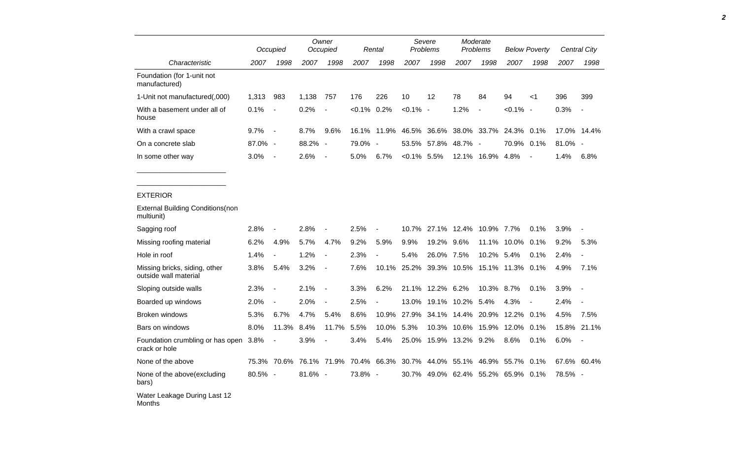|                                                        |         | Occupied                 |         | Owner<br>Occupied        |                | Rental | Severe<br>Problems |       | Moderate<br>Problems |                | <b>Below Poverty</b> |                          |         | Central City   |
|--------------------------------------------------------|---------|--------------------------|---------|--------------------------|----------------|--------|--------------------|-------|----------------------|----------------|----------------------|--------------------------|---------|----------------|
| Characteristic                                         | 2007    | 1998                     | 2007    | 1998                     | 2007           | 1998   | 2007               | 1998  | 2007                 | 1998           | 2007                 | 1998                     | 2007    | 1998           |
| Foundation (for 1-unit not<br>manufactured)            |         |                          |         |                          |                |        |                    |       |                      |                |                      |                          |         |                |
| 1-Unit not manufactured(,000)                          | 1,313   | 983                      | 1,138   | 757                      | 176            | 226    | 10                 | 12    | 78                   | 84             | 94                   | $<$ 1                    | 396     | 399            |
| With a basement under all of<br>house                  | 0.1%    |                          | 0.2%    |                          | $< 0.1\%$ 0.2% |        | $< 0.1\%$ -        |       | 1.2%                 | $\blacksquare$ | $< 0.1\%$            | $\overline{\phantom{a}}$ | 0.3%    |                |
| With a crawl space                                     | 9.7%    | $\overline{\phantom{a}}$ | 8.7%    | 9.6%                     | 16.1%          | 11.9%  | 46.5%              | 36.6% |                      | 38.0% 33.7%    | 24.3% 0.1%           |                          |         | 17.0% 14.4%    |
| On a concrete slab                                     | 87.0%   | $\sim$                   | 88.2%   | $\overline{\phantom{a}}$ | 79.0% -        |        | 53.5%              | 57.8% | 48.7%                | $\sim$         | 70.9%                | 0.1%                     | 81.0% - |                |
| In some other way                                      | 3.0%    | $\overline{a}$           | 2.6%    | $\overline{\phantom{a}}$ | 5.0%           | 6.7%   | $<0.1\%$ 5.5%      |       | 12.1%                | 16.9%          | 4.8%                 | $\overline{\phantom{a}}$ | 1.4%    | 6.8%           |
|                                                        |         |                          |         |                          |                |        |                    |       |                      |                |                      |                          |         |                |
| <b>EXTERIOR</b>                                        |         |                          |         |                          |                |        |                    |       |                      |                |                      |                          |         |                |
| <b>External Building Conditions (non</b><br>multiunit) |         |                          |         |                          |                |        |                    |       |                      |                |                      |                          |         |                |
| Sagging roof                                           | 2.8%    |                          | 2.8%    |                          | 2.5%           |        | 10.7%              | 27.1% | 12.4%                | 10.9%          | 7.7%                 | 0.1%                     | 3.9%    |                |
| Missing roofing material                               | 6.2%    | 4.9%                     | 5.7%    | 4.7%                     | 9.2%           | 5.9%   | 9.9%               | 19.2% | 9.6%                 | 11.1%          | 10.0%                | 0.1%                     | 9.2%    | 5.3%           |
| Hole in roof                                           | 1.4%    |                          | 1.2%    | $\overline{\phantom{a}}$ | 2.3%           |        | 5.4%               | 26.0% | 7.5%                 | 10.2%          | 5.4%                 | 0.1%                     | 2.4%    | $\blacksquare$ |
| Missing bricks, siding, other<br>outside wall material | 3.8%    | 5.4%                     | 3.2%    | $\overline{\phantom{a}}$ | 7.6%           | 10.1%  | 25.2%              | 39.3% | 10.5%                | 15.1%          | 11.3%                | 0.1%                     | 4.9%    | 7.1%           |
| Sloping outside walls                                  | 2.3%    |                          | 2.1%    | $\overline{\phantom{a}}$ | 3.3%           | 6.2%   | 21.1%              | 12.2% | 6.2%                 | 10.3%          | 8.7%                 | 0.1%                     | 3.9%    | $\blacksquare$ |
| Boarded up windows                                     | 2.0%    |                          | 2.0%    | $\blacksquare$           | 2.5%           |        | 13.0%              | 19.1% | 10.2%                | 5.4%           | 4.3%                 | $\blacksquare$           | 2.4%    |                |
| <b>Broken windows</b>                                  | 5.3%    | 6.7%                     | 4.7%    | 5.4%                     | 8.6%           | 10.9%  | 27.9%              |       | 34.1% 14.4% 20.9%    |                | 12.2%                | 0.1%                     | 4.5%    | 7.5%           |
| Bars on windows                                        | 8.0%    | 11.3%                    | 8.4%    | 11.7%                    | 5.5%           | 10.0%  | 5.3%               | 10.3% | 10.6%                | 15.9%          | 12.0%                | 0.1%                     | 15.8%   | 21.1%          |
| Foundation crumbling or has open<br>crack or hole      | 3.8%    |                          | 3.9%    |                          | 3.4%           | 5.4%   | 25.0%              | 15.9% | 13.2% 9.2%           |                | 8.6%                 | 0.1%                     | 6.0%    |                |
| None of the above                                      | 75.3%   | 70.6%                    | 76.1%   | 71.9%                    | 70.4%          | 66.3%  | 30.7%              | 44.0% | 55.1%                | 46.9%          | 55.7%                | 0.1%                     |         | 67.6% 60.4%    |
| None of the above(excluding<br>bars)                   | 80.5% - |                          | 81.6% - |                          | 73.8% -        |        | 30.7%              |       | 49.0% 62.4% 55.2%    |                | 65.9% 0.1%           |                          | 78.5% - |                |
| Water Leakage During Last 12<br>Months                 |         |                          |         |                          |                |        |                    |       |                      |                |                      |                          |         |                |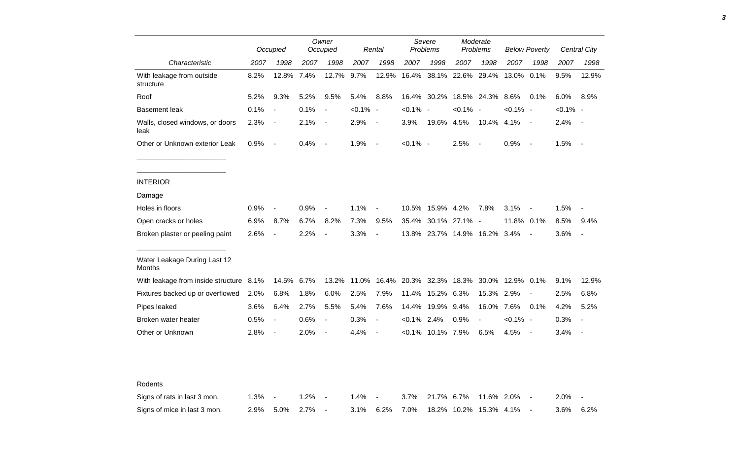|                                         |      | Occupied                 |      | Owner<br>Occupied        |             | Rental                   |             | Severe<br>Problems       |             | Moderate<br>Problems     |                  | <b>Below Poverty</b>     |             | <b>Central City</b>      |
|-----------------------------------------|------|--------------------------|------|--------------------------|-------------|--------------------------|-------------|--------------------------|-------------|--------------------------|------------------|--------------------------|-------------|--------------------------|
| Characteristic                          | 2007 | 1998                     | 2007 | 1998                     | 2007        | 1998                     | 2007        | 1998                     | 2007        | 1998                     | 2007             | 1998                     | 2007        | 1998                     |
| With leakage from outside<br>structure  | 8.2% | 12.8%                    | 7.4% | 12.7%                    | 9.7%        | 12.9%                    | 16.4%       | 38.1%                    | 22.6%       | 29.4%                    | 13.0%            | 0.1%                     | 9.5%        | 12.9%                    |
| Roof                                    | 5.2% | 9.3%                     | 5.2% | 9.5%                     | 5.4%        | 8.8%                     | 16.4%       | 30.2%                    |             | 18.5% 24.3%              | 8.6%             | 0.1%                     | 6.0%        | 8.9%                     |
| <b>Basement leak</b>                    | 0.1% |                          | 0.1% | $\blacksquare$           | $< 0.1\%$ - |                          | $< 0.1\%$   | $\overline{\phantom{a}}$ | $< 0.1\%$   | $\overline{\phantom{a}}$ | $< 0.1\%$ -      |                          | $< 0.1\%$ - |                          |
| Walls, closed windows, or doors<br>leak | 2.3% | $\overline{\phantom{a}}$ | 2.1% | $\blacksquare$           | 2.9%        | $\overline{\phantom{a}}$ | 3.9%        | 19.6%                    | 4.5%        | 10.4%                    | 4.1%             | $\sim$                   | 2.4%        | $\sim$                   |
| Other or Unknown exterior Leak          | 0.9% | $\overline{\phantom{a}}$ | 0.4% | $\overline{\phantom{a}}$ | 1.9%        | $\overline{\phantom{a}}$ | $< 0.1\%$ - |                          | 2.5%        |                          | 0.9%             | $\overline{\phantom{a}}$ | 1.5%        | $\sim$                   |
| <b>INTERIOR</b>                         |      |                          |      |                          |             |                          |             |                          |             |                          |                  |                          |             |                          |
| Damage                                  |      |                          |      |                          |             |                          |             |                          |             |                          |                  |                          |             |                          |
| Holes in floors                         | 0.9% |                          | 0.9% | $\blacksquare$           | 1.1%        | $\overline{a}$           | 10.5%       | 15.9% 4.2%               |             | 7.8%                     | 3.1%             | $\blacksquare$           | 1.5%        | $\overline{\phantom{a}}$ |
| Open cracks or holes                    | 6.9% | 8.7%                     | 6.7% | 8.2%                     | 7.3%        | 9.5%                     | 35.4%       | 30.1%                    | 27.1%       | $\sim$ $-$               | 11.8% 0.1%       |                          | 8.5%        | 9.4%                     |
| Broken plaster or peeling paint         | 2.6% |                          | 2.2% | $\overline{a}$           | 3.3%        | $\overline{\phantom{a}}$ |             | 13.8% 23.7%              | 14.9% 16.2% |                          | 3.4%             | $\overline{\phantom{a}}$ | 3.6%        | ÷,                       |
| Water Leakage During Last 12<br>Months  |      |                          |      |                          |             |                          |             |                          |             |                          |                  |                          |             |                          |
| With leakage from inside structure 8.1% |      | 14.5%                    | 6.7% | 13.2%                    | 11.0%       | 16.4%                    | 20.3%       | 32.3%                    | 18.3%       |                          | 30.0% 12.9% 0.1% |                          | 9.1%        | 12.9%                    |
| Fixtures backed up or overflowed        | 2.0% | 6.8%                     | 1.8% | 6.0%                     | 2.5%        | 7.9%                     | 11.4%       | 15.2%                    | 6.3%        | 15.3%                    | 2.9%             |                          | 2.5%        | 6.8%                     |
| Pipes leaked                            | 3.6% | 6.4%                     | 2.7% | 5.5%                     | 5.4%        | 7.6%                     | 14.4%       | 19.9%                    | 9.4%        | 16.0%                    | 7.6%             | 0.1%                     | 4.2%        | 5.2%                     |
| Broken water heater                     | 0.5% | $\overline{\phantom{a}}$ | 0.6% | $\blacksquare$           | 0.3%        | $\overline{\phantom{a}}$ | $< 0.1\%$   | 2.4%                     | 0.9%        |                          | $< 0.1\%$ -      |                          | 0.3%        | $\overline{\phantom{a}}$ |
| Other or Unknown                        | 2.8% | $\overline{\phantom{a}}$ | 2.0% | $\blacksquare$           | 4.4%        | $\blacksquare$           | $< 0.1\%$   | 10.1%                    | 7.9%        | 6.5%                     | 4.5%             | $\overline{\phantom{a}}$ | 3.4%        | $\sim$                   |
|                                         |      |                          |      |                          |             |                          |             |                          |             |                          |                  |                          |             |                          |
| Rodents                                 |      |                          |      |                          |             |                          |             |                          |             |                          |                  |                          |             |                          |
| Signs of rats in last 3 mon.            | 1.3% |                          | 1.2% |                          | 1.4%        |                          | 3.7%        | 21.7%                    | 6.7%        | 11.6% 2.0%               |                  |                          | 2.0%        |                          |
| Signs of mice in last 3 mon.            | 2.9% | 5.0%                     | 2.7% | $\blacksquare$           | 3.1%        | 6.2%                     | 7.0%        | 18.2%                    | 10.2%       | 15.3% 4.1%               |                  |                          | 3.6%        | 6.2%                     |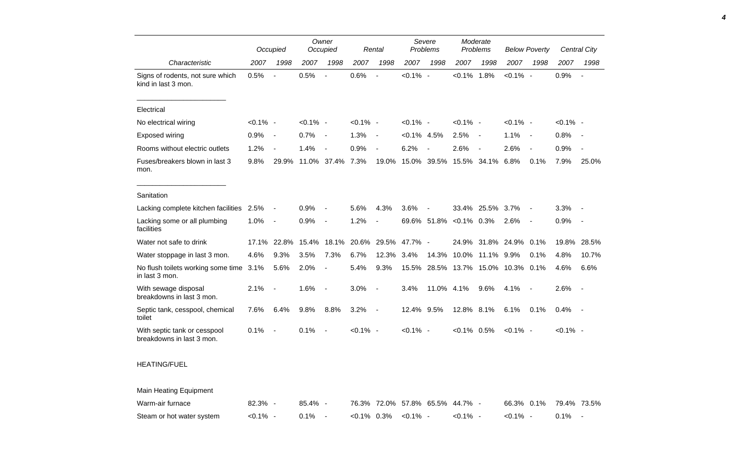|                                                           |             | Occupied                 |             | Owner<br>Occupied        |             | Rental                   |                | Severe<br><b>Problems</b> |                                 | Moderate<br><b>Problems</b> |             | <b>Below Poverty</b>     |             | Central City             |
|-----------------------------------------------------------|-------------|--------------------------|-------------|--------------------------|-------------|--------------------------|----------------|---------------------------|---------------------------------|-----------------------------|-------------|--------------------------|-------------|--------------------------|
| Characteristic                                            | 2007        | 1998                     | 2007        | 1998                     | 2007        | 1998                     | 2007           | 1998                      | 2007                            | 1998                        | 2007        | 1998                     | 2007        | 1998                     |
| Signs of rodents, not sure which<br>kind in last 3 mon.   | 0.5%        | $\overline{a}$           | 0.5%        | $\overline{\phantom{a}}$ | 0.6%        | $\blacksquare$           | $< 0.1\%$ -    |                           | $< 0.1\%$ 1.8%                  |                             | $< 0.1\%$ - |                          | 0.9%        | $\overline{\phantom{a}}$ |
| Electrical                                                |             |                          |             |                          |             |                          |                |                           |                                 |                             |             |                          |             |                          |
| No electrical wiring                                      | $< 0.1\%$ - |                          | $< 0.1\%$ - |                          | $< 0.1\%$ - |                          | $< 0.1\%$ -    |                           | $< 0.1\%$ -                     |                             | $< 0.1\%$ - |                          | $< 0.1\%$ - |                          |
| Exposed wiring                                            | 0.9%        | $\overline{\phantom{a}}$ | 0.7%        | $\overline{\phantom{a}}$ | 1.3%        | $\overline{\phantom{a}}$ | $< 0.1\%$ 4.5% |                           | 2.5%                            | $\overline{\phantom{a}}$    | 1.1%        | $\overline{\phantom{a}}$ | 0.8%        |                          |
| Rooms without electric outlets                            | 1.2%        | $\sim$                   | 1.4%        | $\blacksquare$           | 0.9%        | $\blacksquare$           | 6.2%           | $\overline{\phantom{a}}$  | 2.6%                            | $\blacksquare$              | 2.6%        | $\sim$                   | 0.9%        |                          |
| Fuses/breakers blown in last 3<br>mon.                    | 9.8%        | 29.9%                    |             | 11.0% 37.4%              | 7.3%        | 19.0%                    | 15.0%          | 39.5%                     | 15.5%                           | 34.1%                       | 6.8%        | 0.1%                     | 7.9%        | 25.0%                    |
| Sanitation                                                |             |                          |             |                          |             |                          |                |                           |                                 |                             |             |                          |             |                          |
| Lacking complete kitchen facilities 2.5%                  |             | $\overline{\phantom{a}}$ | 0.9%        |                          | 5.6%        | 4.3%                     | 3.6%           | $\blacksquare$            | 33.4%                           | 25.5%                       | 3.7%        |                          | 3.3%        |                          |
| Lacking some or all plumbing<br>facilities                | 1.0%        | $\overline{\phantom{a}}$ | 0.9%        | $\overline{\phantom{a}}$ | 1.2%        | $\overline{\phantom{a}}$ |                | 69.6% 51.8%               | $< 0.1\%$ 0.3%                  |                             | 2.6%        | $\overline{\phantom{a}}$ | 0.9%        | $\sim$                   |
| Water not safe to drink                                   | 17.1%       | 22.8%                    | 15.4%       | 18.1%                    | 20.6%       | 29.5%                    | 47.7% -        |                           | 24.9%                           | 31.8%                       | 24.9%       | 0.1%                     | 19.8%       | 28.5%                    |
| Water stoppage in last 3 mon.                             | 4.6%        | 9.3%                     | 3.5%        | 7.3%                     | 6.7%        | 12.3%                    | 3.4%           | 14.3%                     | 10.0%                           | 11.1%                       | 9.9%        | 0.1%                     | 4.8%        | 10.7%                    |
| No flush toilets working some time 3.1%<br>in last 3 mon. |             | 5.6%                     | 2.0%        | $\overline{\phantom{a}}$ | 5.4%        | 9.3%                     | 15.5%          | 28.5%                     | 13.7%                           | 15.0%                       | 10.3% 0.1%  |                          | 4.6%        | 6.6%                     |
| With sewage disposal<br>breakdowns in last 3 mon.         | 2.1%        |                          | 1.6%        | $\overline{\phantom{a}}$ | 3.0%        | $\overline{\phantom{a}}$ | 3.4%           | 11.0%                     | 4.1%                            | 9.6%                        | 4.1%        |                          | 2.6%        | $\sim$                   |
| Septic tank, cesspool, chemical<br>toilet                 | 7.6%        | 6.4%                     | 9.8%        | 8.8%                     | 3.2%        | $\overline{\phantom{a}}$ | 12.4% 9.5%     |                           | 12.8% 8.1%                      |                             | 6.1%        | 0.1%                     | 0.4%        | $\sim$                   |
| With septic tank or cesspool<br>breakdowns in last 3 mon. | 0.1%        | $\overline{\phantom{a}}$ | 0.1%        | $\blacksquare$           | $< 0.1\%$ - |                          | $< 0.1\%$ -    |                           | $< 0.1\%$ 0.5%                  |                             | $< 0.1\%$ - |                          | $< 0.1\%$ - |                          |
| <b>HEATING/FUEL</b>                                       |             |                          |             |                          |             |                          |                |                           |                                 |                             |             |                          |             |                          |
| Main Heating Equipment                                    |             |                          |             |                          |             |                          |                |                           |                                 |                             |             |                          |             |                          |
| Warm-air furnace                                          | 82.3% -     |                          | 85.4% -     |                          |             |                          |                |                           | 76.3% 72.0% 57.8% 65.5% 44.7% - |                             | 66.3% 0.1%  |                          |             | 79.4% 73.5%              |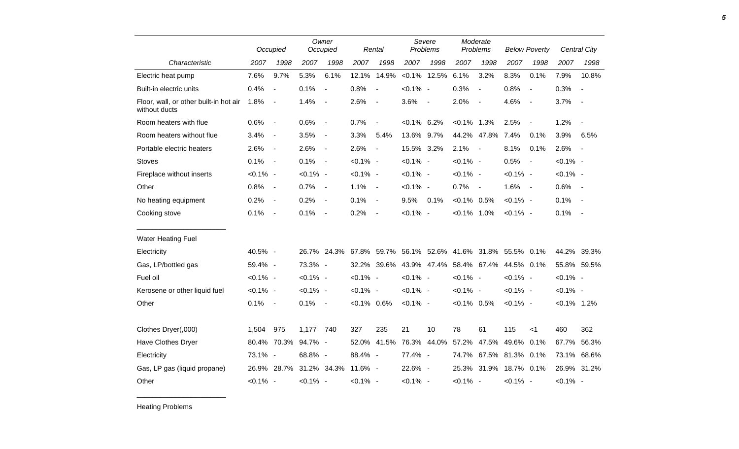|                                                         |             | Occupied                 |             | Owner<br>Occupied        |                | Rental                   |                | Severe<br>Problems |                | Moderate<br>Problems   |             | <b>Below Poverty</b>     |                | Central City   |
|---------------------------------------------------------|-------------|--------------------------|-------------|--------------------------|----------------|--------------------------|----------------|--------------------|----------------|------------------------|-------------|--------------------------|----------------|----------------|
| Characteristic                                          | 2007        | 1998                     | 2007        | 1998                     | 2007           | 1998                     | 2007           | 1998               | 2007           | 1998                   | 2007        | 1998                     | 2007           | 1998           |
| Electric heat pump                                      | 7.6%        | 9.7%                     | 5.3%        | 6.1%                     | 12.1%          | 14.9%                    |                | $< 0.1\%$ 12.5%    | 6.1%           | 3.2%                   | 8.3%        | 0.1%                     | 7.9%           | 10.8%          |
| Built-in electric units                                 | 0.4%        | $\overline{\phantom{a}}$ | 0.1%        | $\overline{\phantom{a}}$ | 0.8%           | $\sim$                   | $< 0.1\%$ -    |                    | 0.3%           | $\blacksquare$         | 0.8%        | $\overline{\phantom{a}}$ | 0.3%           | $\blacksquare$ |
| Floor, wall, or other built-in hot air<br>without ducts | 1.8%        | $\overline{\phantom{a}}$ | 1.4%        | $\overline{\phantom{a}}$ | 2.6%           | $\overline{\phantom{a}}$ | 3.6%           | $\sim$             | 2.0%           | $\blacksquare$         | 4.6%        | $\blacksquare$           | 3.7%           | $\blacksquare$ |
| Room heaters with flue                                  | 0.6%        | $\overline{\phantom{a}}$ | 0.6%        | $\overline{\phantom{a}}$ | 0.7%           | $\overline{\phantom{a}}$ | $< 0.1\%$ 6.2% |                    | $< 0.1\%$ 1.3% |                        | 2.5%        | $\blacksquare$           | 1.2%           | $\blacksquare$ |
| Room heaters without flue                               | 3.4%        | $\overline{\phantom{a}}$ | 3.5%        | $\blacksquare$           | 3.3%           | 5.4%                     | 13.6% 9.7%     |                    |                | 44.2% 47.8%            | 7.4%        | 0.1%                     | 3.9%           | 6.5%           |
| Portable electric heaters                               | 2.6%        | $\overline{\phantom{a}}$ | 2.6%        | $\overline{\phantom{a}}$ | 2.6%           | $\sim$                   | 15.5% 3.2%     |                    | 2.1%           | $\sim$                 | 8.1%        | 0.1%                     | 2.6%           | $\blacksquare$ |
| <b>Stoves</b>                                           | 0.1%        | $\overline{\phantom{a}}$ | 0.1%        | $\sim$                   | $< 0.1\%$ -    |                          | $< 0.1\%$ -    |                    | $< 0.1\%$ -    |                        | 0.5%        | $\blacksquare$           | $< 0.1\%$ -    |                |
| Fireplace without inserts                               | $< 0.1\%$ - |                          | $< 0.1\%$ - |                          | $< 0.1\%$ -    |                          | $< 0.1\%$ -    |                    | $< 0.1\%$ -    |                        | $< 0.1\%$ - |                          | $< 0.1\%$ -    |                |
| Other                                                   | 0.8%        | $\blacksquare$           | 0.7%        | $\sim$                   | 1.1%           | $\sim$                   | $< 0.1\%$ -    |                    | 0.7%           | $\sim$ $-$             | 1.6%        | $\sim$ $-$               | 0.6%           | $\blacksquare$ |
| No heating equipment                                    | 0.2%        | $\overline{\phantom{a}}$ | 0.2%        | $\sim$                   | 0.1%           | $\sim$                   | 9.5%           | 0.1%               | $< 0.1\%$ 0.5% |                        | $< 0.1\%$ - |                          | 0.1%           | $\blacksquare$ |
| Cooking stove                                           | 0.1%        | $\overline{\phantom{a}}$ | 0.1%        | $\overline{\phantom{a}}$ | 0.2%           | $\sim$                   | $< 0.1\%$ -    |                    | $< 0.1\%$ 1.0% |                        | $< 0.1\%$ - |                          | 0.1%           | $\blacksquare$ |
| Water Heating Fuel                                      |             |                          |             |                          |                |                          |                |                    |                |                        |             |                          |                |                |
| Electricity                                             | 40.5% -     |                          |             | 26.7% 24.3%              |                | 67.8% 59.7%              |                | 56.1% 52.6%        |                | 41.6% 31.8%            | 55.5% 0.1%  |                          |                | 44.2% 39.3%    |
| Gas, LP/bottled gas                                     | 59.4% -     |                          | 73.3% -     |                          |                | 32.2% 39.6%              |                | 43.9% 47.4%        |                | 58.4% 67.4%            | 44.5% 0.1%  |                          |                | 55.8% 59.5%    |
| Fuel oil                                                | $< 0.1\%$ - |                          | $< 0.1\%$ - |                          | $< 0.1\%$ -    |                          | $< 0.1\%$ -    |                    | $< 0.1\%$ -    |                        | $< 0.1\%$ - |                          | $< 0.1\%$ -    |                |
| Kerosene or other liquid fuel                           | $< 0.1\%$ - |                          | $< 0.1\%$ - |                          | $< 0.1\%$ -    |                          | $< 0.1\%$ -    |                    | $< 0.1\%$ -    |                        | $< 0.1\%$ - |                          | $< 0.1\%$ -    |                |
| Other                                                   | 0.1%        | $\overline{\phantom{a}}$ | 0.1%        | $\sim$                   | $< 0.1\%$ 0.6% |                          | $< 0.1\%$ -    |                    | $< 0.1\%$ 0.5% |                        | $< 0.1\%$ - |                          | $< 0.1\%$ 1.2% |                |
|                                                         |             |                          |             |                          |                |                          |                |                    |                |                        |             |                          |                |                |
| Clothes Dryer(,000)                                     | 1,504       | 975                      | 1,177       | 740                      | 327            | 235                      | 21             | 10                 | 78             | 61                     | 115         | $<$ 1                    | 460            | 362            |
| <b>Have Clothes Dryer</b>                               |             | 80.4% 70.3%              | 94.7% -     |                          | 52.0%          | 41.5%                    | 76.3%          | 44.0%              | 57.2%          | 47.5%                  | 49.6% 0.1%  |                          | 67.7%          | 56.3%          |
| Electricity                                             | 73.1% -     |                          | 68.8% -     |                          | 88.4% -        |                          | 77.4% -        |                    |                | 74.7% 67.5% 81.3% 0.1% |             |                          |                | 73.1% 68.6%    |
| Gas, LP gas (liquid propane)                            |             | 26.9% 28.7%              |             | 31.2% 34.3%              | 11.6% -        |                          | 22.6% -        |                    |                | 25.3% 31.9%            | 18.7% 0.1%  |                          |                | 26.9% 31.2%    |
| Other                                                   | $< 0.1\%$ - |                          | $< 0.1\%$ - |                          | $< 0.1\%$ -    |                          | $< 0.1\%$ -    |                    | $< 0.1\%$ -    |                        | $< 0.1\%$ - |                          | $< 0.1\%$ -    |                |

Heating Problems

\_\_\_\_\_\_\_\_\_\_\_\_\_\_\_\_\_\_\_\_\_\_\_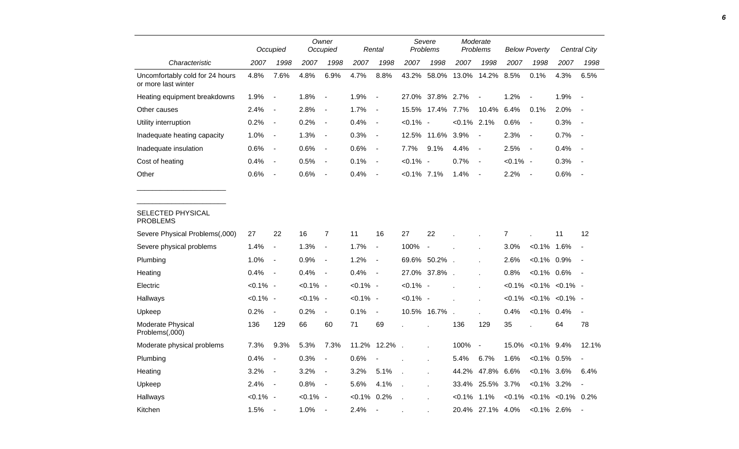|                                                        |             | Occupied                 |             | Owner<br>Occupied            |             | Rental                   |                | Severe<br>Problems |           | Moderate<br>Problems     |             | <b>Below Poverty</b>     |                                    | Central City             |
|--------------------------------------------------------|-------------|--------------------------|-------------|------------------------------|-------------|--------------------------|----------------|--------------------|-----------|--------------------------|-------------|--------------------------|------------------------------------|--------------------------|
| Characteristic                                         | 2007        | 1998                     | 2007        | 1998                         | 2007        | 1998                     | 2007           | 1998               | 2007      | 1998                     | 2007        | 1998                     | 2007                               | 1998                     |
| Uncomfortably cold for 24 hours<br>or more last winter | 4.8%        | 7.6%                     | 4.8%        | 6.9%                         | 4.7%        | 8.8%                     | 43.2%          | 58.0%              | 13.0%     | 14.2%                    | 8.5%        | 0.1%                     | 4.3%                               | 6.5%                     |
| Heating equipment breakdowns                           | 1.9%        | $\overline{\phantom{a}}$ | 1.8%        | $\blacksquare$               | 1.9%        | $\overline{a}$           | 27.0%          | 37.8%              | 2.7%      | $\blacksquare$           | 1.2%        | $\overline{\phantom{a}}$ | 1.9%                               |                          |
| Other causes                                           | 2.4%        | $\blacksquare$           | 2.8%        | $\blacksquare$               | 1.7%        | $\overline{\phantom{a}}$ | 15.5%          | 17.4%              | 7.7%      | 10.4%                    | 6.4%        | 0.1%                     | 2.0%                               |                          |
| Utility interruption                                   | 0.2%        | $\blacksquare$           | 0.2%        | $\blacksquare$               | 0.4%        | $\overline{\phantom{a}}$ | $< 0.1\%$      | $\sim$             | $< 0.1\%$ | 2.1%                     | 0.6%        | $\overline{\phantom{a}}$ | 0.3%                               | $\overline{\phantom{a}}$ |
| Inadequate heating capacity                            | 1.0%        | $\blacksquare$           | 1.3%        | $\blacksquare$               | 0.3%        | $\overline{\phantom{a}}$ | 12.5%          | 11.6%              | 3.9%      | $\overline{\phantom{a}}$ | 2.3%        | $\overline{\phantom{a}}$ | 0.7%                               | $\overline{\phantom{a}}$ |
| Inadequate insulation                                  | 0.6%        | $\blacksquare$           | 0.6%        | $\blacksquare$               | 0.6%        | $\overline{\phantom{a}}$ | 7.7%           | 9.1%               | 4.4%      | $\overline{\phantom{a}}$ | 2.5%        | $\overline{\phantom{a}}$ | 0.4%                               | $\sim$                   |
| Cost of heating                                        | 0.4%        | $\blacksquare$           | 0.5%        | $\blacksquare$               | 0.1%        | $\overline{\phantom{a}}$ | $< 0.1\%$      | $\sim$             | 0.7%      | $\overline{\phantom{a}}$ | $< 0.1\%$ - |                          | 0.3%                               |                          |
| Other                                                  | 0.6%        | $\blacksquare$           | 0.6%        | $\overline{\phantom{a}}$     | 0.4%        | $\blacksquare$           | $< 0.1\%$ 7.1% |                    | 1.4%      | $\overline{\phantom{a}}$ | 2.2%        | $\overline{\phantom{a}}$ | 0.6%                               | $\sim$                   |
| SELECTED PHYSICAL<br><b>PROBLEMS</b>                   |             |                          |             |                              |             |                          |                |                    |           |                          |             |                          |                                    |                          |
| Severe Physical Problems(,000)                         | 27          | 22                       | 16          | 7                            | 11          | 16                       | 27             | 22                 |           |                          | 7           |                          | 11                                 | 12                       |
| Severe physical problems                               | 1.4%        | $\blacksquare$           | 1.3%        | $\qquad \qquad \blacksquare$ | 1.7%        | $\frac{1}{2}$            | 100%           |                    |           |                          | 3.0%        | $< 0.1\%$ 1.6%           |                                    |                          |
| Plumbing                                               | 1.0%        | $\overline{\phantom{a}}$ | 0.9%        | $\blacksquare$               | 1.2%        | $\blacksquare$           | 69.6%          | 50.2%              | $\sim$    |                          | 2.6%        | $< 0.1\%$                | 0.9%                               | $\blacksquare$           |
| Heating                                                | 0.4%        | $\overline{\phantom{a}}$ | 0.4%        | $\overline{\phantom{a}}$     | 0.4%        | $\overline{\phantom{a}}$ |                | 27.0% 37.8%        |           |                          | 0.8%        | $< 0.1\%$ 0.6%           |                                    |                          |
| Electric                                               | $< 0.1\%$ - |                          | $< 0.1\%$ - |                              | $< 0.1\%$ - |                          | $< 0.1\%$ -    |                    |           |                          | $< 0.1\%$   |                          | $< 0.1\% < 0.1\%$                  |                          |
| Hallways                                               | $< 0.1\%$ - |                          | $< 0.1\%$ - |                              | $< 0.1\%$ - |                          | $< 0.1\%$ -    |                    |           |                          | $< 0.1\%$   |                          | $< 0.1\% < 0.1\%$                  |                          |
| Upkeep                                                 | 0.2%        | $\blacksquare$           | 0.2%        | $\overline{\phantom{a}}$     | 0.1%        | $\blacksquare$           |                | 10.5% 16.7%        |           |                          | 0.4%        | $< 0.1\%$ 0.4%           |                                    | $\blacksquare$           |
| Moderate Physical<br>Problems(,000)                    | 136         | 129                      | 66          | 60                           | 71          | 69                       |                |                    | 136       | 129                      | 35          |                          | 64                                 | 78                       |
| Moderate physical problems                             | 7.3%        | 9.3%                     | 5.3%        | 7.3%                         | 11.2%       | 12.2%                    |                |                    | 100%      | $\overline{\phantom{a}}$ | 15.0%       | $< 0.1\%$ 9.4%           |                                    | 12.1%                    |
| Plumbing                                               | 0.4%        | $\blacksquare$           | 0.3%        | $\qquad \qquad \blacksquare$ | 0.6%        |                          |                | t.                 | 5.4%      | 6.7%                     | 1.6%        | $< 0.1\%$ 0.5%           |                                    | $\blacksquare$           |
| Heating                                                | 3.2%        | $\blacksquare$           | 3.2%        | $\blacksquare$               | 3.2%        | 5.1%                     | ÷.             | Ĭ.                 | 44.2%     | 47.8%                    | 6.6%        | $< 0.1\%$ 3.6%           |                                    | 6.4%                     |
| Upkeep                                                 | 2.4%        | $\blacksquare$           | 0.8%        | $\blacksquare$               | 5.6%        | 4.1%                     |                | l,                 | 33.4%     | 25.5%                    | 3.7%        | $< 0.1\%$                | 3.2%                               | $\overline{\phantom{a}}$ |
| Hallways                                               | $< 0.1\%$ - |                          | $< 0.1\%$ - |                              | $< 0.1\%$   | 0.2%                     |                |                    | $< 0.1\%$ | 1.1%                     |             |                          | $< 0.1\%$ $< 0.1\%$ $< 0.1\%$ 0.2% |                          |
| Kitchen                                                | 1.5%        | $\overline{\phantom{a}}$ | 1.0%        |                              | 2.4%        | $\sim$                   |                |                    |           | 20.4% 27.1% 4.0%         |             | $< 0.1\%$ 2.6%           |                                    |                          |